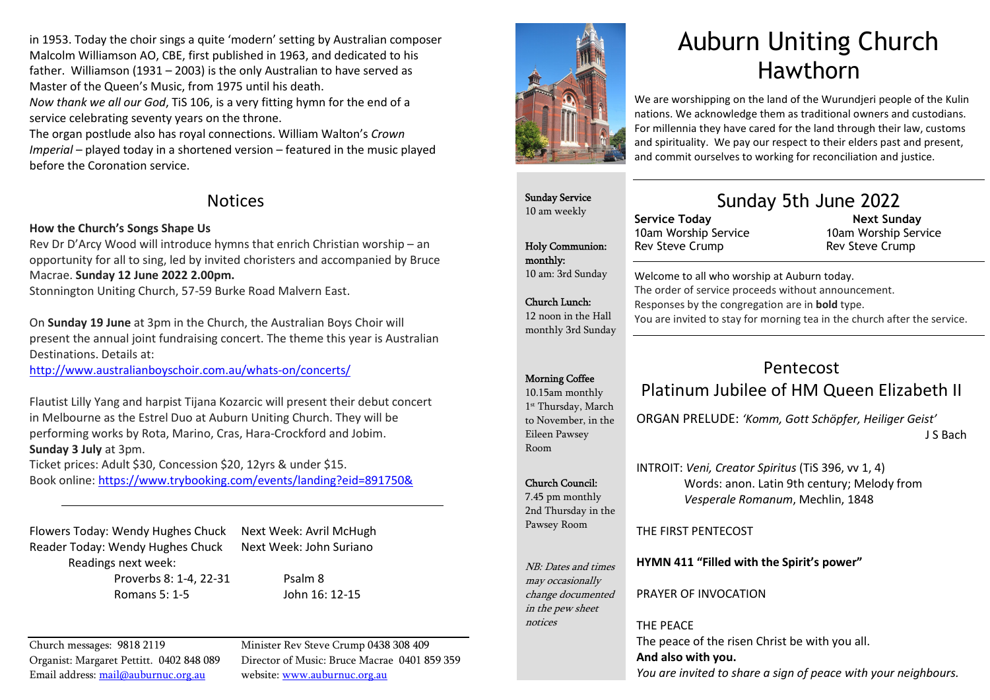in 1953. Today the choir sings a quite 'modern' setting by Australian composer Malcolm Williamson AO, CBE, first published in 1963, and dedicated to his father. Williamson (1931 – 2003) is the only Australian to have served as Master of the Queen's Music, from 1975 until his death.

*Now thank we all our God*, TiS 106, is a very fitting hymn for the end of a service celebrating seventy years on the throne.

The organ postlude also has royal connections. William Walton's *Crown Imperial* – played today in a shortened version – featured in the music played before the Coronation service.

### Notices

### How the Church's Songs Shape Us

Rev Dr D'Arcy Wood will introduce hymns that enrich Christian worship – an opportunity for all to sing, led by invited choristers and accompanied by Bruce Macrae. Sunday 12 June 2022 2.00pm.

Stonnington Uniting Church, 57-59 Burke Road Malvern East.

On Sunday 19 June at 3pm in the Church, the Australian Boys Choir will present the annual joint fundraising concert. The theme this year is Australian Destinations. Details at:

http://www.australianboyschoir.com.au/whats-on/concerts/

Flautist Lilly Yang and harpist Tijana Kozarcic will present their debut concert in Melbourne as the Estrel Duo at Auburn Uniting Church. They will be performing works by Rota, Marino, Cras, Hara-Crockford and Jobim. Sunday 3 July at 3pm. Ticket prices: Adult \$30, Concession \$20, 12yrs & under \$15.

Book online: https://www.trybooking.com/events/landing?eid=891750&

Flowers Today: Wendy Hughes Chuck Next Week: Avril McHugh Reader Today: Wendy Hughes Chuck Next Week: John Suriano Readings next week:

Proverbs 8: 1-4, 22-31 Psalm 8 Romans 5: 1-5 John 16: 12-15

Church messages: 9818 2119 Minister Rev Steve Crump 0438 308 409 Email address: mail@auburnuc.org.au website: www.auburnuc.org.au

Organist: Margaret Pettitt. 0402 848 089 Director of Music: Bruce Macrae 0401 859 359



# Auburn Uniting Church Hawthorn

We are worshipping on the land of the Wurundjeri people of the Kulin nations. We acknowledge them as traditional owners and custodians. For millennia they have cared for the land through their law, customs and spirituality. We pay our respect to their elders past and present, and commit ourselves to working for reconciliation and justice.

### Sunday Service 10 am weekly

Holy Communion:

10 am: 3rd Sunday

Church Lunch: 12 noon in the Hall monthly 3rd Sunday

monthly:

### Sunday 5th June 2022

Service Today 10am Worship Service Rev Steve Crump

 Next Sunday 10am Worship Service Rev Steve Crump

Welcome to all who worship at Auburn today. The order of service proceeds without announcement. Responses by the congregation are in bold type. You are invited to stay for morning tea in the church after the service.

### Morning Coffee

10.15am monthly 1st Thursday, March to November, in the Eileen Pawsey Room

### Church Council:

2nd Thursday in the Pawsey Room

NB: Dates and times may occasionally change documented in the pew sheet notices

PRAYER OF INVOCATION

### THE PEACE

The peace of the risen Christ be with you all. And also with you. *You are invited to share a sign of peace with your neighbours.* 

## Pentecost

### Platinum Jubilee of HM Queen Elizabeth II

ORGAN PRELUDE: *'Komm, Gott Schöpfer, Heiliger Geist'* J S Bach

Words: anon. Latin 9th century; Melody from

7.45 pm monthly

HYMN 411 "Filled with the Spirit's power"

THE FIRST PENTECOST

*Vesperale Romanum*, Mechlin, 1848

INTROIT: *Veni, Creator Spiritus* (TiS 396, vv 1, 4)